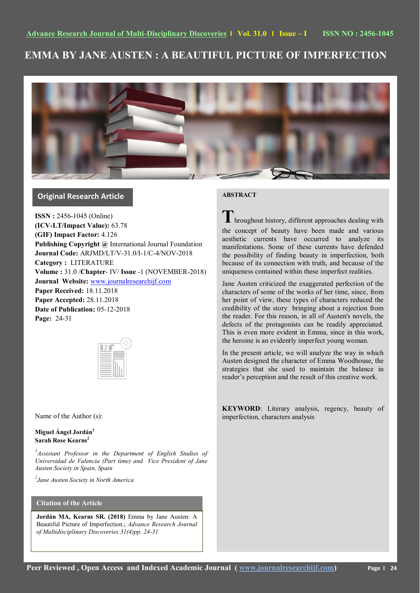# **EMMA BY JANE AUSTEN : A BEAUTIFUL PICTURE OF IMPERFECTION**



# **Original Research Article**

**ISSN :** 2456-1045 (Online) **(ICV-LT/Impact Value):** 63.78 **(GIF) Impact Factor:** 4.126 **Publishing Copyright @** International Journal Foundation **Journal Code:** ARJMD/LT/V-31.0/I-1/C-4/NOV-2018 **Category :** LITERATURE **Volume :** 31.0 /**Chapter**- IV/ **Issue** -1 (NOVEMBER-2018) **Journal Website:** [www.journalresearchijf.com](http://www.journalresearchijf.com/) **Paper Received:** 18.11.2018 **Paper Accepted:** 28.11.2018 **Date of Publication:** 05-12-2018 **Page:** 24-31

Name of the Author (s):

**Miguel Ángel Jordán<sup>1</sup> Sarah Rose Kearns<sup>2</sup>**

<sup>1</sup> Assistant Professor in the Department of English Studies of *Universidad de Valencia (Part time) and Vice President of Jane Austen Society in Spain, Spain*

*2 Jane Austen Society in North America*

# **Citation of the Article**

**Jordán MA, Kearns SR. (2018)** Emma by Jane Austen: A Beautiful Picture of Imperfection.; *Advance Research Journal of Multidisciplinary Discoveries.31(4)pp. 24-31* 

# **ABSTRACT**



**T**hroughout history, different approaches dealing with the concept of beauty have been made and various aesthetic currents have occurred to analyze its manifestations. Some of these currents have defended the possibility of finding beauty in imperfection, both because of its connection with truth, and because of the uniqueness contained within these imperfect realities.

Jane Austen criticized the exaggerated perfection of the characters of some of the works of her time, since, from her point of view, these types of characters reduced the credibility of the story bringing about a rejection from the reader. For this reason, in all of Austen's novels, the defects of the protagonists can be readily appreciated. This is even more evident in Emma, since in this work, the heroine is an evidently imperfect young woman.

In the present article, we will analyze the way in which Austen designed the character of Emma Woodhouse, the strategies that she used to maintain the balance in reader's perception and the result of this creative work.

**KEYWORD**: Literary analysis, regency, beauty of imperfection, characters analysis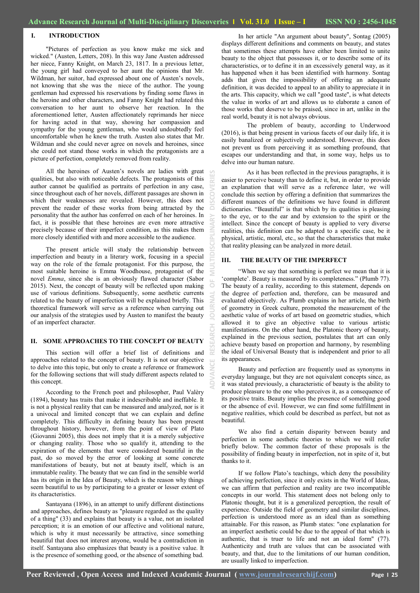# **I. INTRODUCTION**

"Pictures of perfection as you know make me sick and wicked." (Austen, Letters, 208). In this way Jane Austen addressed her niece, Fanny Knight, on March 23, 1817. In a previous letter, the young girl had conveyed to her aunt the opinions that Mr. Wildman, her suitor, had expressed about one of Austen's novels, not knowing that she was the niece of the author. The young gentleman had expressed his reservations by finding some flaws in the heroine and other characters, and Fanny Knight had related this conversation to her aunt to observe her reaction. In the aforementioned letter, Austen affectionately reprimands her niece for having acted in that way, showing her compassion and sympathy for the young gentleman, who would undoubtedly feel uncomfortable when he knew the truth. Austen also states that Mr. Wildman and she could never agree on novels and heroines, since she could not stand those works in which the protagonists are a picture of perfection, completely removed from reality.

All the heroines of Austen's novels are ladies with great qualities, but also with noticeable defects. The protagonists of this author cannot be qualified as portraits of perfection in any case, since throughout each of her novels, different passages are shown in which their weaknesses are revealed. However, this does not prevent the reader of these works from being attracted by the personality that the author has conferred on each of her heroines. In fact, it is possible that these heroines are even more attractive precisely because of their imperfect condition, as this makes them more closely identified with and more accessible to the audience.

The present article will study the relationship between imperfection and beauty in a literary work, focusing in a special way on the role of the female protagonist. For this purpose, the most suitable heroine is Emma Woodhouse, protagonist of the novel *Emma*, since she is an obviously flawed character (Sabor 2015). Next, the concept of beauty will be reflected upon making use of various definitions. Subsequently, some aesthetic currents related to the beauty of imperfection will be explained briefly. This theoretical framework will serve as a reference when carrying out our analysis of the strategies used by Austen to manifest the beauty of an imperfect character.

#### **II. SOME APPROACHES TO THE CONCEPT OF BEAUTY**

This section will offer a brief list of definitions and approaches related to the concept of beauty. It is not our objective to delve into this topic, but only to create a reference or framework for the following sections that will study different aspects related to this concept.

According to the French poet and philosopher, Paul Valèry (1894), beauty has traits that make it indescribable and ineffable. It is not a physical reality that can be measured and analyzed, nor is it a univocal and limited concept that we can explain and define completely. This difficulty in defining beauty has been present throughout history, however, from the point of view of Plato (Giovanni 2005), this does not imply that it is a merely subjective or changing reality. Those who so qualify it, attending to the expiration of the elements that were considered beautiful in the past, do so moved by the error of looking at some concrete manifestations of beauty, but not at beauty itself, which is an immutable reality. The beauty that we can find in the sensible world has its origin in the Idea of Beauty, which is the reason why things seem beautiful to us by participating to a greater or lesser extent of its characteristics.

Santayana (1896), in an attempt to unify different distinctions and approaches, defines beauty as "pleasure regarded as the quality of a thing" (33) and explains that beauty is a value, not an isolated perception; it is an emotion of our affective and volitional nature, which is why it must necessarily be attractive, since something beautiful that does not interest anyone, would be a contradiction in itself. Santayana also emphasizes that beauty is a positive value. It is the presence of something good, or the absence of something bad.

In her article "An argument about beauty", Sontag (2005) displays different definitions and comments on beauty, and states that sometimes these attempts have either been limited to unite beauty to the object that possesses it, or to describe some of its characteristics, or to define it in an excessively general way, as it has happened when it has been identified with harmony. Sontag adds that given the impossibility of offering an adequate definition, it was decided to appeal to an ability to appreciate it in the arts. This capacity, which we call "good taste", is what detects the value in works of art and allows us to elaborate a canon of those works that deserve to be praised, since in art, unlike in the real world, beauty it is not always obvious.

The problem of beauty, according to Underwood (2016), is that being present in various facets of our daily life, it is easily banalized or subjectively understood. However, this does not prevent us from perceiving it as something profound, that escapes our understanding and that, in some way, helps us to delve into our human nature.

As it has been reflected in the previous paragraphs, it is easier to perceive beauty than to define it, but, in order to provide an explanation that will serve as a reference later, we will conclude this section by offering a definition that summarizes the different nuances of the definitions we have found in different dictionaries. "Beautiful" is that which by its qualities is pleasing to the eye, or to the ear and by extension to the spirit or the intellect. Since the concept of beauty is applied to very diverse realities, this definition can be adapted to a specific case, be it physical, artistic, moral, etc., so that the characteristics that make that reality pleasing can be analyzed in more detail.

#### **III. THE BEAUTY OF THE IMPERFECT**

**ADVANCE RESEARCH JOURNAL OF MULTIDISCIPLINARY DISCOVERIES**

―When we say that something is perfect we mean that it is ‗complete'. Beauty is measured by its completeness.‖ (Plumb 77). The beauty of a reality, according to this statement, depends on the degree of perfection and, therefore, can be measured and evaluated objectively. As Plumb explains in her article, the birth of geometry in Greek culture, promoted the measurement of the aesthetic value of works of art based on geometric studies, which allowed it to give an objective value to various artistic manifestations. On the other hand, the Platonic theory of beauty, explained in the previous section, postulates that art can only achieve beauty based on proportion and harmony, by resembling the ideal of Universal Beauty that is independent and prior to all its appearances.

Beauty and perfection are frequently used as synonyms in everyday language, but they are not equivalent concepts since, as it was stated previously, a characteristic of beauty is the ability to produce pleasure to the one who perceives it, as a consequence of its positive traits. Beauty implies the presence of something good or the absence of evil. However, we can find some fulfillment in negative realities, which could be described as perfect, but not as beautiful.

We also find a certain disparity between beauty and perfection in some aesthetic theories to which we will refer briefly below. The common factor of these proposals is the possibility of finding beauty in imperfection, not in spite of it, but thanks to it.

If we follow Plato's teachings, which deny the possibility of achieving perfection, since it only exists in the World of Ideas, we can affirm that perfection and reality are two incompatible concepts in our world. This statement does not belong only to Platonic thought, but it is a generalized perception, the result of experience. Outside the field of geometry and similar disciplines, perfection is understood more as an ideal than as something attainable. For this reason, as Plumb states: "one explanation for an imperfect aesthetic could be due to the appeal of that which is authentic, that is truer to life and not an ideal form" (77). Authenticity and truth are values that can be associated with beauty, and that, due to the limitations of our human condition, are usually linked to imperfection.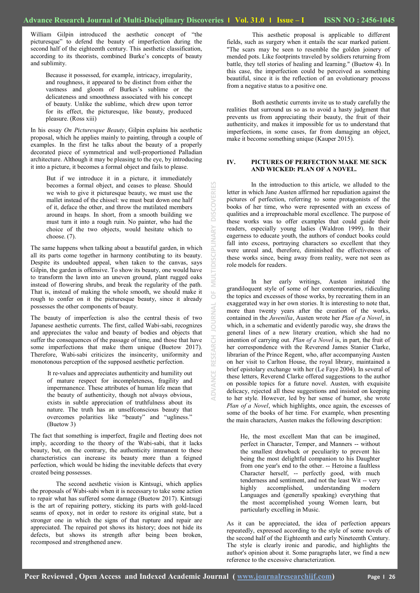$\overline{0}$ 

**JOURNAL** 

RESEARCH

MULTIDISCIPLINARY

**DISCOVERIES** 

William Gilpin introduced the aesthetic concept of "the picturesque" to defend the beauty of imperfection during the second half of the eighteenth century. This aesthetic classification, according to its theorists, combined Burke's concepts of beauty and sublimity.

Because it possessed, for example, intricacy, irregularity, and roughness, it appeared to be distinct from either the vastness and gloom of Burkes's sublime or the delicateness and smoothness associated with his concept of beauty. Unlike the sublime, which drew upon terror for its effect, the picturesque, like beauty, produced pleasure. (Ross xiii)

In his essay *On Picturesque Beauty*, Gilpin explains his aesthetic proposal, which he applies mainly to painting, through a couple of examples. In the first he talks about the beauty of a properly decorated piece of symmetrical and well-proportioned Palladian architecture. Although it may be pleasing to the eye, by introducing it into a picture, it becomes a formal object and fails to please.

But if we introduce it in a picture, it immediately becomes a formal object, and ceases to please. Should we wish to give it picturesque beauty, we must use the mallet instead of the chissel: we must beat down one half of it, deface the other, and throw the mutilated members around in heaps. In short, from a smooth building we must turn it into a rough ruin. No painter, who had the choice of the two objects, would hesitate which to choose. (7).

The same happens when talking about a beautiful garden, in which all its parts come together in harmony contibuting to its beauty. Despite its undoubted appeal, when taken to the canvas, says Gilpin, the garden is offensive. To show its beauty, one would have to transform the lawn into an uneven ground, plant rugged oaks instead of flowering shrubs, and break the regularity of the path. That is, instead of making the whole smooth, we should make it rough to confer on it the picturesque beauty, since it already possesses the other components of beauty.

The beauty of imperfection is also the central thesis of two Japanese aesthetic currents. The first, called Wabi-sabi, recognizes and appreciates the value and beauty of bodies and objects that suffer the consequences of the passage of time, and those that have some imperfections that make them unique (Buetow 2017). Therefore, Wabi-sabi criticizes the insincerity, uniformity and monotonous perception of the supposed aesthetic perfection.

It re-values and appreciates authenticity and humility out of mature respect for incompleteness, fragility and impermanence. These attributes of human life mean that the beauty of authenticity, though not always obvious, exists in subtle appreciation of truthfulness about its nature. The truth has an unselfconscious beauty that overcomes polarities like "beauty" and "ugliness." (Buetow 3)

The fact that something is imperfect, fragile and fleeting does not imply, according to the theory of the Wabi-sabi, that it lacks beauty, but, on the contrary, the authenticity immanent to these characteristics can increase its beauty more than a feigned perfection, which would be hiding the inevitable defects that every created being possesses.

The second aesthetic vision is Kintsugi, which applies the proposals of Wabi-sabi when it is necessary to take some action to repair what has suffered some damage (Buetow 2017). Kintsugi is the art of repairing pottery, sticking its parts with gold-laced seams of epoxy, not in order to restore its original state, but a stronger one in which the signs of that rupture and repair are appreciated. The repaired pot shows its history; does not hide its defects, but shows its strength after being been broken, recomposed and strengthened anew.

This aesthetic proposal is applicable to different fields, such as surgery when it entails the scar marked patient. "The scars may be seen to resemble the golden joinery of mended pots. Like footprints traveled by soldiers returning from battle, they tell stories of healing and learning." (Buetow 4). In this case, the imperfection could be perceived as something beautiful, since it is the reflection of an evolutionary process from a negative status to a positive one.

Both aesthetic currents invite us to study carefully the realities that surround us so as to avoid a hasty judgment that prevents us from appreciating their beauty, the fruit of their authenticity, and makes it impossible for us to understand that imperfections, in some cases, far from damaging an object, make it become something unique (Kauper 2015).

## **IV. PICTURES OF PERFECTION MAKE ME SICK AND WICKED: PLAN OF A NOVEL.**

In the introduction to this article, we alluded to the letter in which Jane Austen affirmed her repudiation against the pictures of perfection, referring to some protagonists of the books of her time, who were represented with an excess of qualities and a irreproachable moral excellence. The purpose of these works was to offer examples that could guide their readers, especially young ladies (Waldron 1999). In their eagerness to educate youth, the authors of conduct books could fall into excess, portraying characters so excellent that they were unreal and, therefore, diminished the effectiveness of these works since, being away from reality, were not seen as role models for readers.

In her early writings, Austen imitated the grandiloquent style of some of her contemporaries, ridiculing the topics and excesses of those works, by recreating them in an exaggerated way in her own stories. It is interesting to note that, more than twenty years after the creation of the works, contained in the *Juvenilia*, Austen wrote her *Plan of a Novel*, in which, in a schematic and evidently parodic way, she draws the general lines of a new literary creation, which she had no intention of carrying out. *Plan of a Novel* is, in part, the fruit of her correspondence with the Reverend James Stanier Clarke, librarian of the Prince Regent, who, after accompanying Austen on her visit to Carlton House, the royal library, maintained a brief epistolary exchange with her (Le Faye 2004). In several of these letters, Reverend Clarke offered suggestions to the author on possible topics for a future novel. Austen, with exquisite delicacy, rejected all these suggestions and insisted on keeping to her style. However, led by her sense of humor, she wrote *Plan of a Novel*, which highlights, once again, the excesses of some of the books of her time. For example, when presenting the main characters, Austen makes the following description:

He, the most excellent Man that can be imagined, perfect in Character, Temper, and Manners -- without the smallest drawback or peculiarity to prevent his being the most delightful companion to his Daughter from one year's end to the other. -- Heroine a faultless Character herself, -- perfectly good, with much tenderness and sentiment, and not the least Wit -- very highly accomplished, understanding modern Languages and (generally speaking) everything that the most accomplished young Women learn, but particularly excelling in Music.

As it can be appreciated, the idea of perfection appears repeatedly, expressed according to the style of some novels of the second half of the Eighteenth and early Nineteenth Century. The style is clearly ironic and parodic, and highlights the author's opinion about it. Some paragraphs later, we find a new reference to the excessive characterization.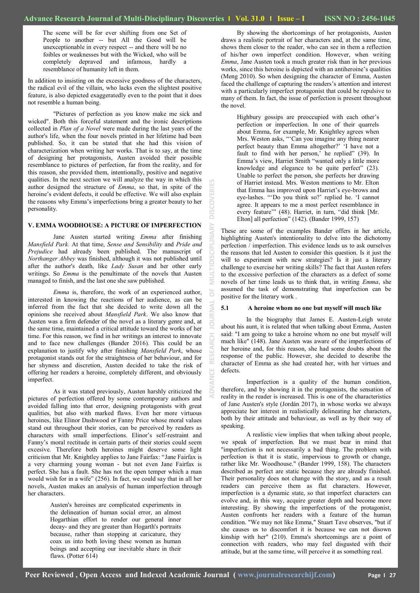ă

š

The scene will be for ever shifting from one Set of People to another -- but All the Good will be unexceptionable in every respect -- and there will be no foibles or weaknesses but with the Wicked, who will be completely depraved and infamous, hardly a resemblance of humanity left in them.

In addition to insisting on the excessive goodness of the characters, the radical evil of the villain, who lacks even the slightest positive feature, is also depicted exaggeratedly even to the point that it does not resemble a human being.

"Pictures of perfection as you know make me sick and wicked". Both this forceful statement and the ironic descriptions collected in *Plan of a Novel* were made during the last years of the author's life, when the four novels printed in her lifetime had been published. So, it can be stated that she had this vision of characterization when writing her works. That is to say, at the time of designing her protagonists, Austen avoided their possible resemblance to pictures of perfection, far from the reality, and for this reason, she provided them, intentionally, positive and negative qualities. In the next section we will analyze the way in which this author designed the structure of *Emma*, so that, in spite of the heroine's evident defects, it could be effective. We will also explain the reasons why Emma's imperfections bring a greater beauty to her personality.

## **V. EMMA WOODHOUSE: A PICTURE OF IMPERFECTION**

Jane Austen started writing *Emma* after finishing *Mansfield Park.* At that time, *Sense and Sensibility* and *Pride and Prejudice* had already been published. The manuscript of *Northanger Abbey* was finished, although it was not published until after the author's death, like *Lady Susan* and her other early writings. So *Emma* is the penultimate of the novels that Austen managed to finish, and the last one she saw published.

*Emma* is, therefore, the work of an experienced author, interested in knowing the reactions of her audience, as can be inferred from the fact that she decided to write down all the opinions she received about *Mansfield Park*. We also know that Austen was a firm defender of the novel as a literary genre and, at the same time, maintained a critical attitude toward the works of her time. For this reason, we find in her writings an interest to innovate and to face new challenges (Bander 2016). This could be an explanation to justify why after finishing *Mansfield Park*, whose protagonist stands out for the straightness of her behaviour, and for her shyness and discretion, Austen decided to take the risk of offering her readers a heroine, completely different, and obviously imperfect.

As it was stated previously, Austen harshly criticized the pictures of perfection offered by some contemporary authors and avoided falling into that error, designing protagonists with great qualities, but also with marked flaws. Even her more virtuous heroines, like Elinor Dashwood or Fanny Price whose moral values stand out throughout their stories, can be perceived by readers as characters with small imperfections. Elinor's self-restraint and Fanny's moral rectitude in certain parts of their stories could seem excesive. Therefore both heroines might deserve some light criticism that Mr. Knightley applies to Jane Fairfax: "Jane Fairfax is a very charming young woman - but not even Jane Fairfax is perfect. She has a fault. She has not the open temper which a man would wish for in a wife" (256). In fact, we could say that in all her novels, Austen makes an analysis of human imperfection through her characters.

> Austen's heroines are complicated experiments in the delineation of human social error, an almost Hogarthian effort to render our general inner decay- and they are greater than Hogarth's portraits because, rather than stopping at caricature, they coax us into both loving these women as human beings and accepting our inevitable share in their flaws. (Potter 614)

By showing the shortcomings of her protagonists, Austen draws a realistic portrait of her characters and, at the same time, shows them closer to the reader, who can see in them a reflection of his/her own imperfect condition. However, when writing *Emma*, Jane Austen took a much greater risk than in her previous works, since this heroine is depicted with an antiheroine's qualities (Meng 2010). So when designing the character of Emma, Austen faced the challenge of capturing the readers's attention and interest with a particularly imperfect protagonist that could be repulsive to many of them. In fact, the issue of perfection is present throughout the novel.

Highbury gossips are preoccupied with each other's perfection or imperfection. In one of their quarrels about Emma, for example, Mr. Knightley agrees when Mrs. Weston asks, "'Can you imagine any thing nearer perfect beauty than Emma altogether?' ‗I have not a fault to find with her person,' he replied" (39). In Emma's view, Harriet Smith "wanted only a little more knowledge and elegance to be quite perfect"  $(23)$ . Unable to perfect the person, she perfects her drawing of Harriet instead. Mrs. Weston mentions to Mr. Elton that Emma has improved upon Harriet's eye-brows and eye-lashes. "'Do you think so?' replied he. 'I cannot agree. It appears to me a most perfect resemblance in every feature" (48). Harriet, in turn, "did think [Mr. Elton] all perfection" (142). (Bander 1999, 157)

These are some of the examples Bander offers in her article, highlighting Austen's intentionality to delve into the dichotomy perfection / imperfection. This evidence leads us to ask ourselves the reasons that led Austen to consider this question. Is it just the will to experiment with new strategies? Is it just a literary challenge to exercise her writing skills? The fact that Austen refers to the excessive perfection of the characters as a defect of some novels of her time leads us to think that, in writing *Emma*, she assumed the task of demonstrating that imperfection can be positive for the literary work .

#### **5.1 A heroine whom no one but myself will much like**

In the biography that James E. Austen-Leigh wrote about his aunt, it is related that when talking about Emma, Austen said: "I am going to take a heroine whom no one but myself will much like" (148). Jane Austen was aware of the imperfections of her heroine and, for this reason, she had some doubts about the response of the public. However, she decided to describe the character of Emma as she had created her, with her virtues and defects.

Imperfection is a quality of the human condition, therefore, and by showing it in the protagonists, the sensation of reality in the reader is increased. This is one of the characteristics of Jane Austen's style (Jordán 2017), in whose works we always appreciate her interest in realistically delineating her characters, both by their attitude and behaviour, as well as by their way of speaking.

A realistic view implies that when talking about people, we speak of imperfection. But we must bear in mind that "imperfection is not necessarily a bad thing. The problem with perfection is that it is static, impervious to growth or change, rather like Mr. Woodhouse." (Bander 1999, 158). The characters described as perfect are static because they are already finished. Their personality does not change with the story, and as a result readers can perceive them as flat characters. However, imperfection is a dynamic state, so that imperfect characters can evolve and, in this way, acquire greater depth and become more interesting. By showing the imperfections of the protagonist, Austen confronts her readers with a feature of the human condition. "We may not like Emma," Stuart Tave observes, "but if she causes us to discomfort it is because we can not disown kinship with her" (210). Emma's shortcomings are a point of connection with readers, who may feel disgusted with their attitude, but at the same time, will perceive it as something real.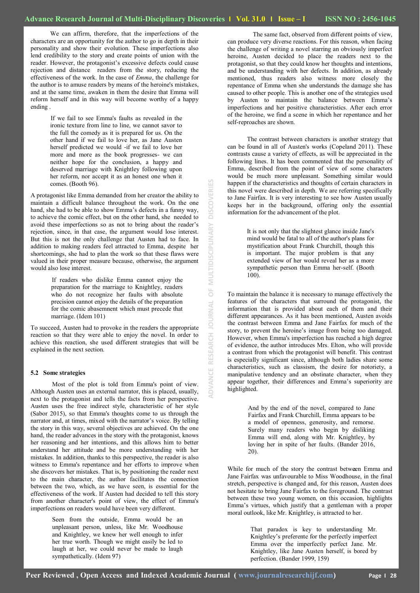$\frac{11}{10}$ 

JOURNAL

RESEARCH

ADVANCE

MULTIDISCIPLINARY

쏩

**DISCOVERI** 

We can affirm, therefore, that the imperfections of the characters are an opportunity for the author to go in depth in their personality and show their evolution. These imperfections also lend credibility to the story and create points of union with the reader. However, the protagonist's excessive defects could cause rejection and distance readers from the story, reducing the effectiveness of the work. In the case of *Emma*, the challenge for the author is to amuse readers by means of the heroine's mistakes, and at the same time, awaken in them the desire that Emma will reform herself and in this way will become worthy of a happy ending .

> If we fail to see Emma's faults as revealed in the ironic texture from line to line, we cannot savor to the full the comedy as it is prepared for us. On the other hand if we fail to love her, as Jane Austen herself predicted we would -if we fail to love her more and more as the book progresses- we can neither hope for the conclusion, a happy and deserved marriage with Knightley following upon her reform, nor accept it as an honest one when it comes. (Booth 96).

A protagonist like Emma demanded from her creator the ability to maintain a difficult balance throughout the work. On the one hand, she had to be able to show Emma's defects in a funny way, to achieve the comic effect, but on the other hand, she needed to avoid these imperfections so as not to bring about the reader's rejection, since, in that case, the argument would lose interest. But this is not the only challenge that Austen had to face. In addition to making readers feel attracted to Emma, despite her shortcomings, she had to plan the work so that these flaws were valued in their proper measure because, otherwise, the argument would also lose interest.

> If readers who dislike Emma cannot enjoy the preparation for the marriage to Knightley, readers who do not recognize her faults with absolute precision cannot enjoy the details of the preparation for the comic abasemnent which must precede that marriage. (Idem 101)

To succeed, Austen had to provoke in the readers the appropriate reaction so that they were able to enjoy the novel. In order to achieve this reaction, she used different strategies that will be explained in the next section.

#### **5.2 Some strategies**

Most of the plot is told from Emma's point of view. Although Austen uses an external narrator, this is placed, usually, next to the protagonist and tells the facts from her perspective. Austen uses the free indirect style, characteristic of her style (Sabor 2015), so that Emma's thoughts come to us through the narrator and, at times, mixed with the narrator's voice. By telling the story in this way, several objectives are achieved. On the one hand, the reader advances in the story with the protagonist, knows her reasoning and her intentions, and this allows him to better understand her attitude and be more understanding with her mistakes. In addition, thanks to this perspective, the reader is also witness to Emma's repentance and her efforts to improve when she discovers her mistakes. That is, by positioning the reader next to the main character, the author facilitates the connection between the two, which, as we have seen, is essential for the effectiveness of the work. If Austen had decided to tell this story from another character's point of view, the effect of Emma's imperfections on readers would have been very different.

> Seen from the outside, Emma would be an unpleasant person, unless, like Mr. Woodhouse and Knightley, we knew her well enough to infer her true worth. Though we might easily be led to laugh at her, we could never be made to laugh sympathetically. (Idem 97)

The same fact, observed from different points of view, can produce very diverse reactions. For this reason, when facing the challenge of writing a novel starring an obviously imperfect heroine, Austen decided to place the readers next to the protagonist, so that they could know her thoughts and intentions, and be understanding with her defects. In addition, as already mentioned, thus readers also witness more closely the repentance of Emma when she understands the damage she has caused to other people. This is another one of the strategies used by Austen to maintain the balance between Emma's imperfections and her positive characteristics. After each error of the heroine, we find a scene in which her repentance and her self-reproaches are shown.

The contrast between characters is another strategy that can be found in all of Austen's works (Copeland 2011). These contrasts cause a variety of effects, as will be appreciated in the following lines. It has been commented that the personality of Emma, described from the point of view of some characters would be much more unpleasant. Something similar would happen if the characteristics and thoughts of certain characters in this novel were described in depth. We are referring specifically to Jane Fairfax. It is very interesting to see how Austen usually keeps her in the background, offering only the essential information for the advancement of the plot.

> It is not only that the slightest glance inside Jane's mind would be fatal to all of the author's plans for mystification about Frank Churchill, though this is important. The major problem is that any extended view of her would reveal her as a more sympathetic person than Emma her-self. (Booth 100).

To maintain the balance it is necessary to manage effectively the features of the characters that surround the protagonist, the information that is provided about each of them and their different appearances. As it has been mentioned, Austen avoids the contrast between Emma and Jane Fairfax for much of the story, to prevent the heroine's image from being too damaged. However, when Emma's imperfection has reached a high degree of evidence, the author introduces Mrs. Elton, who will provide a contrast from which the protagonist will benefit. This contrast is especially significant since, although both ladies share some characteristics, such as classism, the desire for notoriety, a manipulative tendency and an obstinate character, when they appear together, their differences and Emma's superiority are highlighted.

> And by the end of the novel, compared to Jane Fairfax and Frank Churchill, Emma appears to be a model of openness, generosity, and remorse. Surely many readers who begin by disliking Emma will end, along with Mr. Knightley, by loving her in spite of her faults. (Bander 2016, 20).

While for much of the story the contrast between Emma and Jane Fairfax was unfavourable to Miss Woodhouse, in the final stretch, perspective is changed and, for this reason, Austen does not hesitate to bring Jane Fairfax to the foreground. The contrast between these two young women, on this occasion, highlights Emma's virtues, which justify that a gentleman with a proper moral outlook, like Mr. Knightley, is attracted to her.

> That paradox is key to understanding Mr. Knightley's preferente for the perfectly imperfect Emma over the imperfectly perfect Jane. Mr. Knightley, like Jane Austen herself, is bored by perfection. (Bander 1999, 159)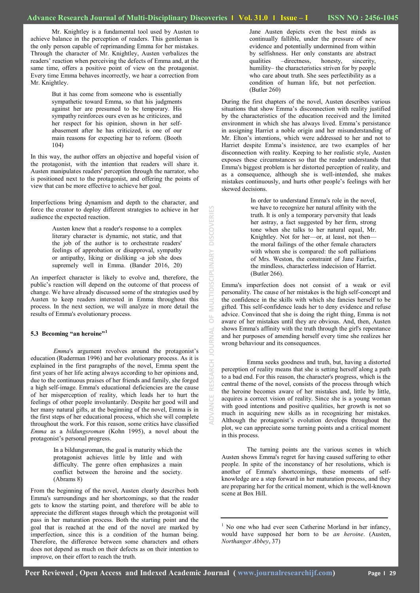Mr. Knightley is a fundamental tool used by Austen to achieve balance in the perception of readers. This gentleman is the only person capable of reprimanding Emma for her mistakes. Through the character of Mr. Knightley, Austen verbalizes the readers' reaction when perceiving the defects of Emma and, at the same time, offers a positive point of view on the protagonist. Every time Emma behaves incorrectly, we hear a correction from Mr. Knightley.

> But it has come from someone who is essentially sympathetic toward Emma, so that his judgments against her are presumed to be temporary. His sympathy reinforces ours even as he criticizes, and her respect for his opinion, shown in her selfabasement after he has criticized, is one of our main reasons for expecting her to reform. (Booth 104)

In this way, the author offers an objective and hopeful vision of the protagonist, with the intention that readers will share it. Austen manipulates readers' perception through the narrator, who is positioned next to the protagonist, and offering the points of view that can be more effective to achieve her goal.

Imperfections bring dynamism and depth to the character, and force the creator to deploy different strategies to achieve in her audience the expected reaction.

> Austen knew that a reader's response to a complex literary character is dynamic, not static, and that the job of the author is to orchestrate readers' feelings of approbation or disapproval, sympathy or antipathy, liking or disliking -a job she does supremely well in Emma. (Bander 2016, 20)

An imperfect character is likely to evolve and, therefore, the public's reaction will depend on the outcome of that process of change. We have already discussed some of the strategies used by Austen to keep readers interested in Emma throughout this process. In the next section, we will analyze in more detail the results of Emma's evolutionary process.

### **5.3 Becoming "an heroine"<sup>1</sup>**

*Emma*'s argument revolves around the protagonist's education (Ruderman 1996) and her evolutionary process. As it is explained in the first paragraphs of the novel, Emma spent the first years of her life acting always according to her opinions and, due to the continuous praises of her friends and family, she forged a high self-image. Emma's educational deficiencies are the cause of her misperception of reality, which leads her to hurt the feelings of other people involuntarily. Despite her good will and her many natural gifts, at the beginning of the novel, Emma is in the first steps of her educational process, which she will complete throughout the work. For this reason, some critics have classified *Emma* as a *bildungsroman* (Kohn 1995), a novel about the protagonist's personal progress.

> In a bildungsroman, the goal is maturity which the protagonist achieves little by little and with difficulty. The genre often emphasizes a main conflict between the heroine and the society. (Abrams 8)

From the beginning of the novel, Austen clearly describes both Emma's surroundings and her shortcomings, so that the reader gets to know the starting point, and therefore will be able to appreciate the different stages through which the protagonist will pass in her maturation process. Both the starting point and the goal that is reached at the end of the novel are marked by imperfection, since this is a condition of the human being. Therefore, the difference between some characters and others does not depend as much on their defects as on their intention to improve, on their effort to reach the truth.

Jane Austen depicts even the best minds as continually fallible, under the pressure of new evidence and potentially undermined from within by selfishness. Her only constants are abstract qualities –directness, honesty, sincerity, humility– the characteristics striven for by people who care about truth. She sees perfectibility as a condition of human life, but not perfection. (Butler 260)

During the first chapters of the novel, Austen describes various situations that show Emma's disconnection with reality justified by the characteristics of the education received and the limited environment in which she has always lived. Emma's persistance in assigning Harriet a noble origin and her misunderstanding of Mr. Elton's intentions, which were addressed to her and not to Harriet despite Emma's insistence, are two examples of her disconnection with reality. Keeping to her realistic style, Austen exposes these circumstances so that the reader understands that Emma's biggest problem is her distorted perception of reality, and as a consequence, although she is well-intended, she makes mistakes continuously, and hurts other people's feelings with her skewed decisions.

> In order to understand Emma's role in the novel, we have to recognize her natural affinity with the truth. It is only a temporary perversity that leads her astray, a fact suggested by her firm, strong tone when she talks to her natural equal, Mr. Knightley. Not for her—or, at least, not then the moral failings of the other female characters with whom she is compared: the soft palliations of Mrs. Weston, the constraint of Jane Fairfax, the mindless, characterless indecision of Harriet. (Butler 266).

Emma's imperfection does not consist of a weak or evil personality. The cause of her mistakes is the high self-concept and the confidence in the skills with which she fancies herself to be gifted. This self-confidence leads her to deny evidence and refuse advice. Convinced that she is doing the right thing, Emma is not aware of her mistakes until they are obvious. And, then, Austen shows Emma's affinity with the truth through the girl's repentance and her purposes of amending herself every time she realizes her wrong behaviour and its consequences.

Emma seeks goodness and truth, but, having a distorted perception of reality means that she is setting herself along a path to a bad end. For this reason, the character's progress, which is the central theme of the novel, consists of the process through which the heroine becomes aware of her mistakes and, little by little, acquires a correct vision of reality. Since she is a young woman with good intentions and positive qualities, her growth is not so much in acquiring new skills as in recognizing her mistakes. Although the protagonist's evolution develops throughout the plot, we can appreciate some turning points and a critical moment in this process.

The turning points are the various scenes in which Austen shows Emma's regret for having caused suffering to other people. In spite of the inconstancy of her resolutions, which is another of Emma's shortcomings, these moments of selfknowledge are a step forward in her maturation process, and they are preparing her for the critical moment, which is the well-known scene at Box Hill.

**ADVANCE RESEARCH JOURNAL OF MULTIDISCIPLINARY DISCOVERIES**

 $\frac{1}{\sqrt{2}}$ 

**IRNAL** 

RESEARCH

MULTIDISCIPLINARY DISCOVERIES

<sup>&</sup>lt;sup>1</sup> No one who had ever seen Catherine Morland in her infancy, would have supposed her born to be *an heroine*. (Austen, *Northanger Abbey*, 37)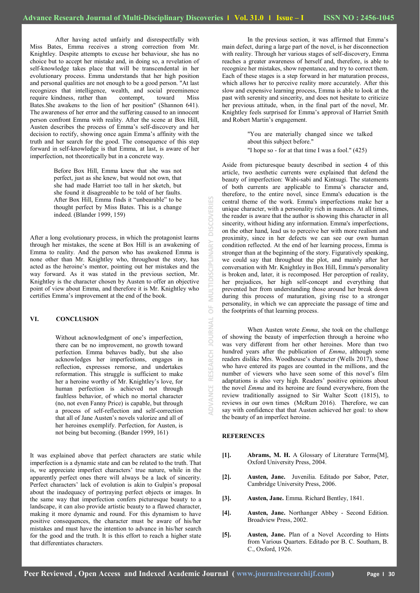After having acted unfairly and disrespectfully with Miss Bates, Emma receives a strong correction from Mr. Knightley. Despite attempts to excuse her behaviour, she has no choice but to accept her mistake and, in doing so, a revelation of self-knowledge takes place that will be transcendental in her evolutionary process. Emma understands that her high position and personal qualities are not enough to be a good person. "At last recognizes that intelligence, wealth, and social preeminence require kindness, rather than contempt, toward Miss Bates.She awakens to the lion of her position" (Shannon 641). The awareness of her error and the suffering caused to an innocent person confront Emma with reality. After the scene at Box Hill, Austen describes the process of Emma's self-discovery and her decision to rectify, showing once again Emma's affinity with the truth and her search for the good. The consequence of this step forward in self-knowledge is that Emma, at last, is aware of her imperfection, not theoretically but in a concrete way.

> Before Box Hill, Emma knew that she was not perfect, just as she knew, but would not own, that she had made Harriet too tall in her sketch, but she found it disagreeable to be told of her faults. After Box Hill, Emma finds it "unbearable" to be thought perfect by Miss Bates. This is a change indeed. (Blander 1999, 159)

After a long evolutionary process, in which the protagonist learns through her mistakes, the scene at Box Hill is an awakening of Emma to reality. And the person who has awakened Emma is none other than Mr. Knightley who, throughout the story, has acted as the heroine's mentor, pointing out her mistakes and the way forward. As it was stated in the previous section, Mr. Knightley is the character chosen by Austen to offer an objective point of view about Emma, and therefore it is Mr. Knightley who certifies Emma's improvement at the end of the book.

# **VI. CONCLUSION**

Without acknowledgment of one's imperfection, there can be no improvement, no growth toward perfection. Emma behaves badly, but she also acknowledges her imperfections, engages in reflection, expresses remorse, and undertakes reformation. This struggle is sufficient to make her a heroine worthy of Mr. Knightley's love, for human perfection is achieved not through faultless behavior, of which no mortal character (no, not even Fanny Price) is capable, but through a process of self-reflection and self-correction that all of Jane Austen's novels valorize and all of her heroines exemplify. Perfection, for Austen, is not being but becoming. (Bander 1999, 161)

It was explained above that perfect characters are static while imperfection is a dynamic state and can be related to the truth. That is, we appreciate imperfect characters' true nature, while in the apparently perfect ones there will always be a lack of sincerity. Perfect characters' lack of evolution is akin to Gulpin's proposal about the inadequacy of portraying perfect objects or images. In the same way that imperfection confers picturesque beauty to a landscape, it can also provide artistic beauty to a flawed character, making it more dynamic and round. For this dynamism to have positive consequences, the character must be aware of his/her mistakes and must have the intention to advance in his/her search for the good and the truth. It is this effort to reach a higher state that differentiates characters.

In the previous section, it was affirmed that Emma's main defect, during a large part of the novel, is her disconnection with reality. Through her various stages of self-discovery, Emma reaches a greater awareness of herself and, therefore, is able to recognize her mistakes, show repentance, and try to correct them. Each of these stages is a step forward in her maturation process, which allows her to perceive reality more accurately. After this slow and expensive learning process, Emma is able to look at the past with serenity and sincerity, and does not hesitate to criticize her previous attitude, when, in the final part of the novel, Mr. Knightley feels surprised for Emma's approval of Harriet Smith and Robert Martin's engagement.

> "You are materially changed since we talked about this subject before." "I hope so - for at that time I was a fool." (425)

Aside from picturesque beauty described in section 4 of this article, two aesthetic currents were explained that defend the beauty of imperfection: Wabi-sabi and Kintsugi. The statements of both currents are applicable to Emma's character and, therefore, to the entire novel, since Emma's education is the central theme of the work. Emma's imperfections make her a unique character, with a personality rich in nuances. At all times, the reader is aware that the author is showing this character in all sincerity, without hiding any information. Emma's imperfections, on the other hand, lead us to perceive her with more realism and proximity, since in her defects we can see our own human condition reflected. At the end of her learning process, Emma is stronger than at the beginning of the story. Figuratively speaking, we could say that throughout the plot, and mainly after her conversation with Mr. Knightley in Box Hill, Emma's personality is broken and, later, it is recomposed. Her perception of reality, her prejudices, her high self-concept and everything that prevented her from understanding those around her break down during this process of maturation, giving rise to a stronger personality, in which we can appreciate the passage of time and the footprints of that learning process.

When Austen wrote *Emma*, she took on the challenge of showing the beauty of imperfection through a heroine who was very different from her other heroines. More than two hundred years after the publication of *Emma*, although some readers dislike Mrs. Woodhouse's character (Wells 2017), those who have entered its pages are counted in the millions, and the number of viewers who have seen some of this novel's film adaptations is also very high. Readers' positive opinions about the novel *Emma* and its heroine are found everywhere, from the review traditionally assigned to Sir Walter Scott (1815), to reviews in our own times (McRum 2016). Therefore, we can say with confidence that that Austen achieved her goal: to show the beauty of an imperfect heroine.

### **REFERENCES**

**ADVANCE RESEARCH JOURNAL OF MULTIDISCIPLINARY DISCOVERIES**

 $\overline{0}$ 

**JOURNAL** 

RESEARCH

**ADVANCE** 

rinus<br>N

**DISCOVERIES** 

 $\geq$ 

 $\overline{a}$ 

- **[1]. Abrams, M. H.** A Glossary of Literature Terms[M], Oxford University Press, 2004.
- **[2]. Austen, Jane.** Juvenilia. Editado por Sabor, Peter, Cambridge University Press, 2006.
- **[3]. Austen, Jane.** Emma. Richard Bentley, 1841.
- **[4]. Austen, Jane.** Northanger Abbey Second Edition. Broadview Press, 2002.
- **[5]. Austen, Jane.** Plan of a Novel According to Hints from Various Quarters. Editado por B. C. Southam, B. C., Oxford, 1926.